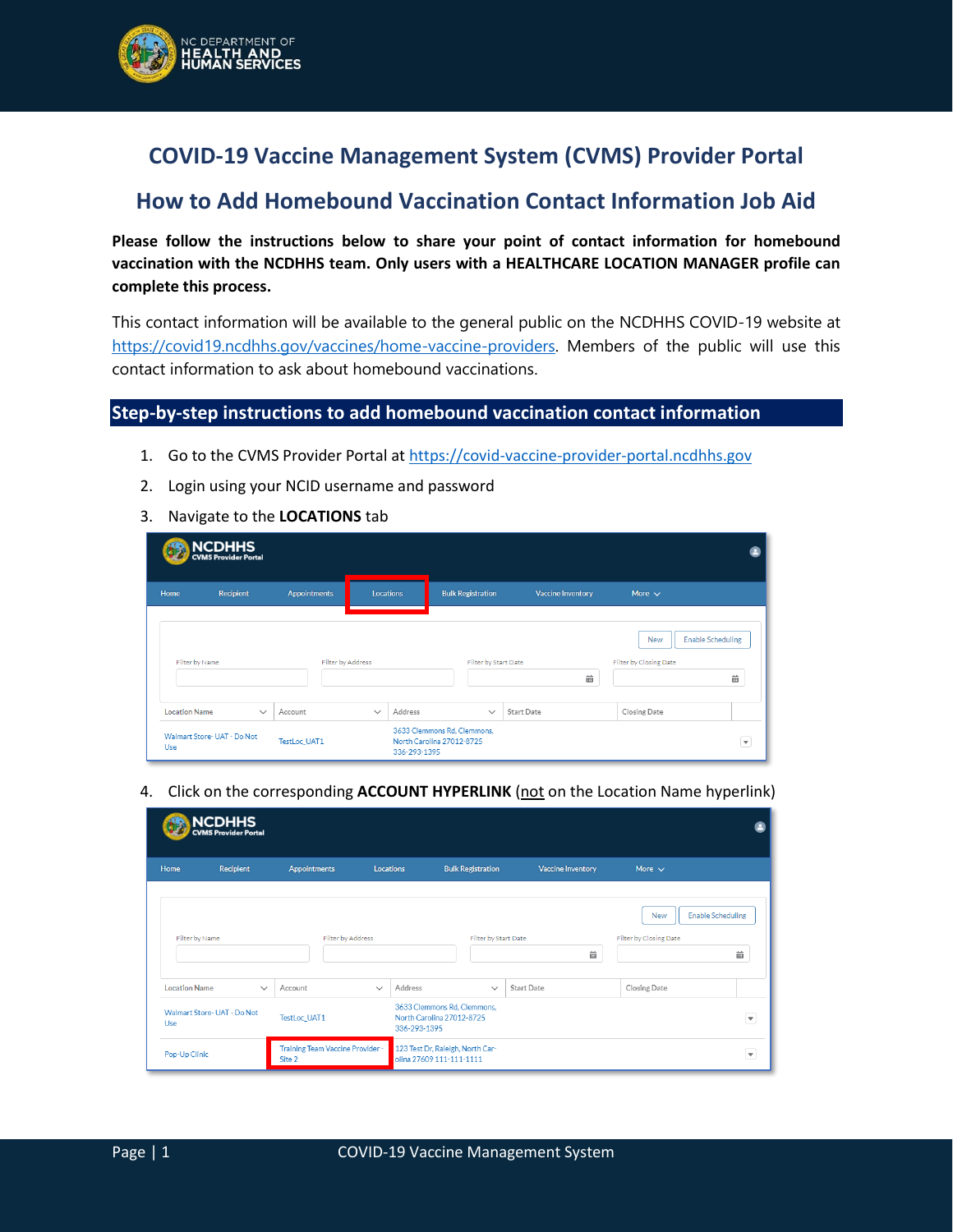

## **COVID-19 Vaccine Management System (CVMS) Provider Portal**

## **How to Add Homebound Vaccination Contact Information Job Aid**

**Please follow the instructions below to share your point of contact information for homebound vaccination with the NCDHHS team. Only users with a HEALTHCARE LOCATION MANAGER profile can complete this process.**

This contact information will be available to the general public on the NCDHHS COVID-19 website at [https://covid19.ncdhhs.gov/vaccines/home-vaccine-providers.](https://covid19.ncdhhs.gov/vaccines/home-vaccine-providers) Members of the public will use this contact information to ask about homebound vaccinations.

## **Step-by-step instructions to add homebound vaccination contact information**

- 1. Go to the CVMS Provider Portal at [https://covid-vaccine-provider-portal.ncdhhs.gov](https://covid-vaccine-provider-portal.ncdhhs.gov/)
- 2. Login using your NCID username and password
- 3. Navigate to the **LOCATIONS** tab

|                      | NCDHHS<br>CVMS Provider Portal |                     |                   |              |                                                          |                          |                                      |                               |
|----------------------|--------------------------------|---------------------|-------------------|--------------|----------------------------------------------------------|--------------------------|--------------------------------------|-------------------------------|
| Home                 | <b>Recipient</b>               | <b>Appointments</b> | Locations         |              | <b>Bulk Registration</b>                                 | <b>Vaccine Inventory</b> | More $\sim$                          |                               |
| Filter by Name       |                                |                     | Filter by Address |              | Filter by Start Date                                     | 齒                        | <b>New</b><br>Filter by Closing Date | <b>Enable Scheduling</b><br>齒 |
| <b>Location Name</b> | $\checkmark$                   | Account             | $\checkmark$      | Address      | $\checkmark$                                             | <b>Start Date</b>        | Closing Date                         |                               |
| Use                  | Walmart Store- UAT - Do Not    | <b>TestLoc UAT1</b> |                   | 336-293-1395 | 3633 Clemmons Rd, Clemmons,<br>North Carolina 27012-8725 |                          |                                      | $\overline{\mathbf{v}}$       |

4. Click on the corresponding **ACCOUNT HYPERLINK** (not on the Location Name hyperlink)

|                      | NCDHHS<br>CVMS Provider Portal |                                            |              |                                                                          |                          |                          |                                      |                               |
|----------------------|--------------------------------|--------------------------------------------|--------------|--------------------------------------------------------------------------|--------------------------|--------------------------|--------------------------------------|-------------------------------|
| Home                 | Recipient                      | Appointments                               | Locations    |                                                                          | <b>Bulk Registration</b> | <b>Vaccine Inventory</b> | More $\sim$                          |                               |
| Filter by Name       |                                | Filter by Address                          |              |                                                                          | Filter by Start Date     | 齒                        | <b>New</b><br>Filter by Closing Date | <b>Enable Scheduling</b><br>齒 |
| <b>Location Name</b> | $\checkmark$                   | Account                                    | $\checkmark$ | Address                                                                  | $\checkmark$             | <b>Start Date</b>        | Closing Date                         |                               |
| Use                  | Walmart Store- UAT - Do Not    | <b>TestLoc UAT1</b>                        |              | 3633 Clemmons Rd, Clemmons,<br>North Carolina 27012-8725<br>336-293-1395 |                          |                          |                                      | $\blacktriangledown$          |
| Pop-Up Clinic        |                                | Training Team Vaccine Provider -<br>Site 2 |              | 123 Test Dr, Raleigh, North Car-<br>olina 27609 111-111-1111             |                          |                          |                                      | $\blacktriangledown$          |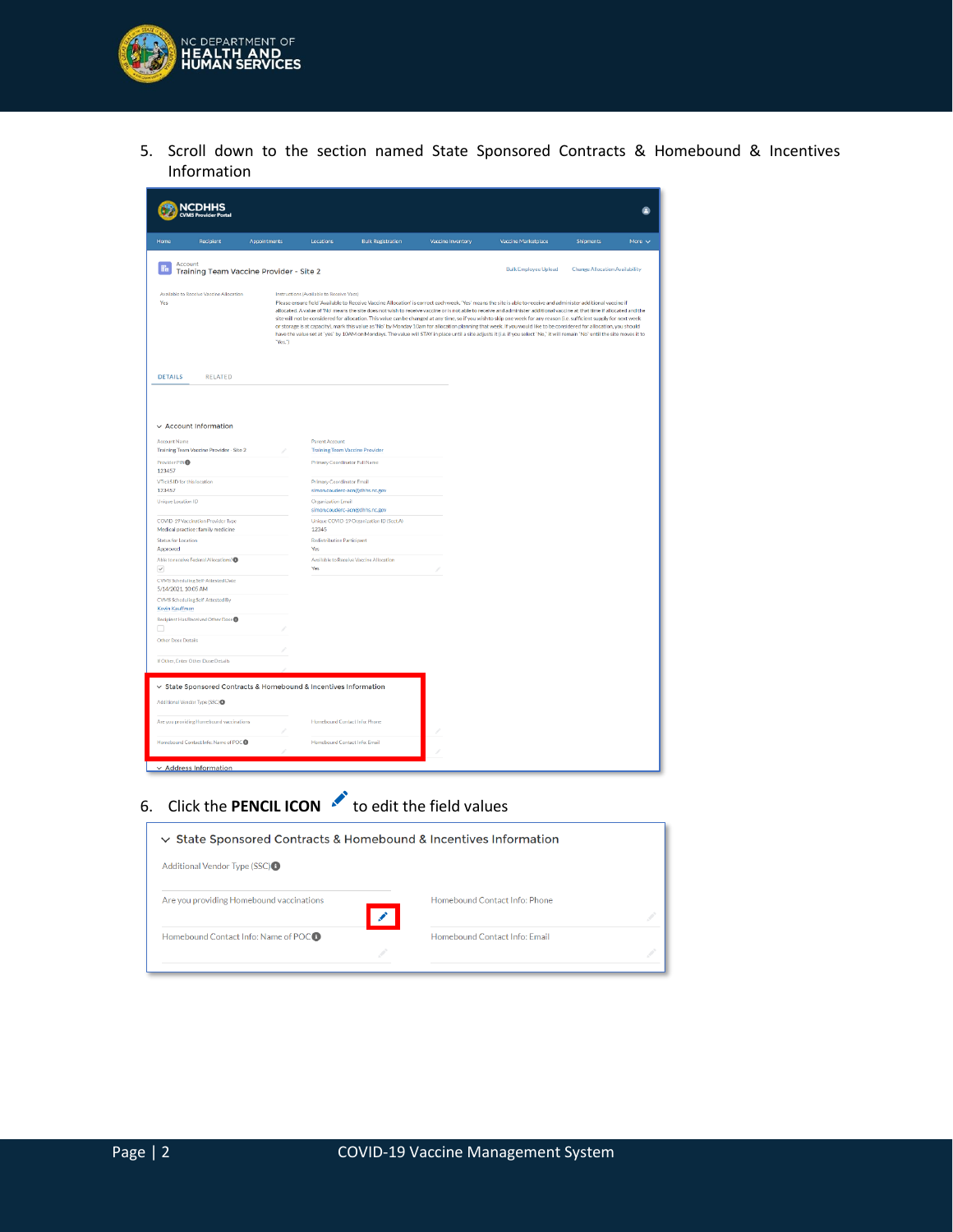

5. Scroll down to the section named State Sponsored Contracts & Homebound & Incentives Information

| соні                                                                                                                                                                                                                                                                                                                                                                                                                                                                                                                                                                                                                                                                                                                                                                                                                                                                                                                                                                                     |                     |                                                                |                                          |                   |                     |                  | ۵              |  |
|------------------------------------------------------------------------------------------------------------------------------------------------------------------------------------------------------------------------------------------------------------------------------------------------------------------------------------------------------------------------------------------------------------------------------------------------------------------------------------------------------------------------------------------------------------------------------------------------------------------------------------------------------------------------------------------------------------------------------------------------------------------------------------------------------------------------------------------------------------------------------------------------------------------------------------------------------------------------------------------|---------------------|----------------------------------------------------------------|------------------------------------------|-------------------|---------------------|------------------|----------------|--|
| Home<br>Recipient                                                                                                                                                                                                                                                                                                                                                                                                                                                                                                                                                                                                                                                                                                                                                                                                                                                                                                                                                                        | <b>Appointments</b> | Locations                                                      | <b>Bulk Registration</b>                 | Vaccine Inventory | Vaccine Marketplace | <b>Shipments</b> | More $\sqrt{}$ |  |
| Account<br><b>Bulk Employee Upload</b><br><b>Change Allocation Availability</b><br>Training Team Vaccine Provider - Site 2                                                                                                                                                                                                                                                                                                                                                                                                                                                                                                                                                                                                                                                                                                                                                                                                                                                               |                     |                                                                |                                          |                   |                     |                  |                |  |
| Available to Receive Vaccine Allocation<br>Instructions (Available to Receive Vacs)<br>Yes<br>Please ensure field 'Available to Receive Vaccine Allocation' is correct each week. 'Yes' means the site is able to receive and administer additional vaccine if<br>allocated. A value of 'No' means the site does not wish to receive vaccine or is not able to receive and administer additional vaccine at that time if allocated and the<br>site will not be considered for allocation. This value can be changed at any time, so if you wish to skip one week for any reason (i.e. sufficient supply for next week<br>or storage is at capacity), mark this value as 'No' by Monday 10am for allocation planning that week. If you would like to be considered for allocation, you should<br>have the value set at 'yes' by 10AM on Mondays. The value will STAY in place until a site adjusts it (i.e. if you select 'No,' it will remain 'No' until the site moves it to<br>"Yes.") |                     |                                                                |                                          |                   |                     |                  |                |  |
| <b>DETAILS</b><br><b>RELATED</b>                                                                                                                                                                                                                                                                                                                                                                                                                                                                                                                                                                                                                                                                                                                                                                                                                                                                                                                                                         |                     |                                                                |                                          |                   |                     |                  |                |  |
| $\vee$ Account Information<br><b>Account Name</b><br>Training Team Vaccine Provider - Site 2                                                                                                                                                                                                                                                                                                                                                                                                                                                                                                                                                                                                                                                                                                                                                                                                                                                                                             |                     | <b>Parent Account</b><br><b>Training Team Vaccine Provider</b> |                                          |                   |                     |                  |                |  |
| Provider PIN®                                                                                                                                                                                                                                                                                                                                                                                                                                                                                                                                                                                                                                                                                                                                                                                                                                                                                                                                                                            |                     | Primary Coordinator Full Name                                  |                                          |                   |                     |                  |                |  |
| 123457<br>VTrckS ID for this location                                                                                                                                                                                                                                                                                                                                                                                                                                                                                                                                                                                                                                                                                                                                                                                                                                                                                                                                                    |                     | Primary Coordinator Email                                      |                                          |                   |                     |                  |                |  |
| 123457                                                                                                                                                                                                                                                                                                                                                                                                                                                                                                                                                                                                                                                                                                                                                                                                                                                                                                                                                                                   |                     | simon.couderc-acn@dhhs.nc.gov                                  |                                          |                   |                     |                  |                |  |
| Unique Location ID                                                                                                                                                                                                                                                                                                                                                                                                                                                                                                                                                                                                                                                                                                                                                                                                                                                                                                                                                                       |                     | <b>Organization Email</b><br>simon.couderc-acn@dhhs.nc.gov     |                                          |                   |                     |                  |                |  |
| COVID-19 Vaccination Provider Type<br>Medical practice : family medicine                                                                                                                                                                                                                                                                                                                                                                                                                                                                                                                                                                                                                                                                                                                                                                                                                                                                                                                 |                     | 12345                                                          | Unique COVID-19 Organization ID (Sect A) |                   |                     |                  |                |  |
| Status for Location<br>Approved                                                                                                                                                                                                                                                                                                                                                                                                                                                                                                                                                                                                                                                                                                                                                                                                                                                                                                                                                          |                     | <b>Redistribution Participant</b><br><b>Yes</b>                |                                          |                   |                     |                  |                |  |
| Able to receive Federal Allocations? <sup></sup><br>$\sim$                                                                                                                                                                                                                                                                                                                                                                                                                                                                                                                                                                                                                                                                                                                                                                                                                                                                                                                               |                     | Yes                                                            | Available to Receive Vaccine Allocation  |                   |                     |                  |                |  |
| CVMS Scheduling Self-Attested Date<br>5/14/2021, 10:05 AM                                                                                                                                                                                                                                                                                                                                                                                                                                                                                                                                                                                                                                                                                                                                                                                                                                                                                                                                |                     |                                                                |                                          |                   |                     |                  |                |  |
| CVMS Scheduling Self-Attested By<br>Kevin Kauffman                                                                                                                                                                                                                                                                                                                                                                                                                                                                                                                                                                                                                                                                                                                                                                                                                                                                                                                                       |                     |                                                                |                                          |                   |                     |                  |                |  |
| Recipient Has Received Other Dose <sup>®</sup>                                                                                                                                                                                                                                                                                                                                                                                                                                                                                                                                                                                                                                                                                                                                                                                                                                                                                                                                           |                     |                                                                |                                          |                   |                     |                  |                |  |
| o<br>Other Dose Details                                                                                                                                                                                                                                                                                                                                                                                                                                                                                                                                                                                                                                                                                                                                                                                                                                                                                                                                                                  |                     |                                                                |                                          |                   |                     |                  |                |  |
| If Other, Enter Other Dose Details                                                                                                                                                                                                                                                                                                                                                                                                                                                                                                                                                                                                                                                                                                                                                                                                                                                                                                                                                       |                     |                                                                |                                          |                   |                     |                  |                |  |
|                                                                                                                                                                                                                                                                                                                                                                                                                                                                                                                                                                                                                                                                                                                                                                                                                                                                                                                                                                                          |                     |                                                                |                                          |                   |                     |                  |                |  |
| ▽ State Sponsored Contracts & Homebound & Incentives Information                                                                                                                                                                                                                                                                                                                                                                                                                                                                                                                                                                                                                                                                                                                                                                                                                                                                                                                         |                     |                                                                |                                          |                   |                     |                  |                |  |
| Additional Vendor Type (SSC)                                                                                                                                                                                                                                                                                                                                                                                                                                                                                                                                                                                                                                                                                                                                                                                                                                                                                                                                                             |                     |                                                                |                                          |                   |                     |                  |                |  |
| Are you providing Homebound vaccinations                                                                                                                                                                                                                                                                                                                                                                                                                                                                                                                                                                                                                                                                                                                                                                                                                                                                                                                                                 |                     | Homebound Contact Info: Phone                                  |                                          |                   |                     |                  |                |  |
| Homebound Contact Info: Name of POCO                                                                                                                                                                                                                                                                                                                                                                                                                                                                                                                                                                                                                                                                                                                                                                                                                                                                                                                                                     |                     | Homebound Contact Info: Email                                  |                                          |                   |                     |                  |                |  |
| $\times$ Address Information                                                                                                                                                                                                                                                                                                                                                                                                                                                                                                                                                                                                                                                                                                                                                                                                                                                                                                                                                             |                     |                                                                |                                          |                   |                     |                  |                |  |

6. Click the **PENCIL ICON** to edit the field values